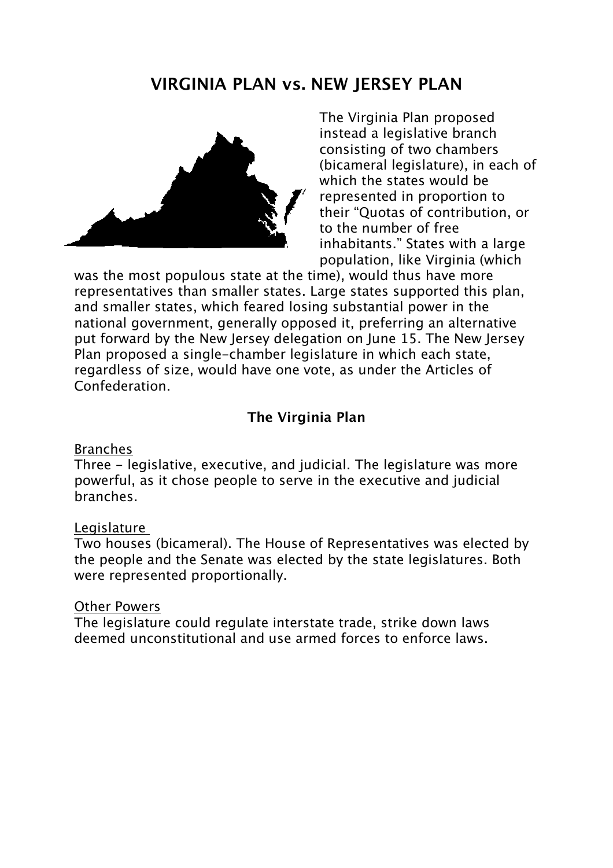# **VIRGINIA PLAN vs. NEW JERSEY PLAN**



The Virginia Plan proposed instead a legislative branch consisting of two chambers (bicameral legislature), in each of which the states would be represented in proportion to their "Quotas of contribution, or to the number of free inhabitants." States with a large population, like Virginia (which

was the most populous state at the time), would thus have more representatives than smaller states. Large states supported this plan, and smaller states, which feared losing substantial power in the national government, generally opposed it, preferring an alternative put forward by the New Jersey delegation on June 15. The New Jersey Plan proposed a single-chamber legislature in which each state, regardless of size, would have one vote, as under the Articles of Confederation.

## **The Virginia Plan**

#### Branches

Three - legislative, executive, and judicial. The legislature was more powerful, as it chose people to serve in the executive and judicial branches.

#### Legislature

Two houses (bicameral). The House of Representatives was elected by the people and the Senate was elected by the state legislatures. Both were represented proportionally.

### Other Powers

The legislature could regulate interstate trade, strike down laws deemed unconstitutional and use armed forces to enforce laws.